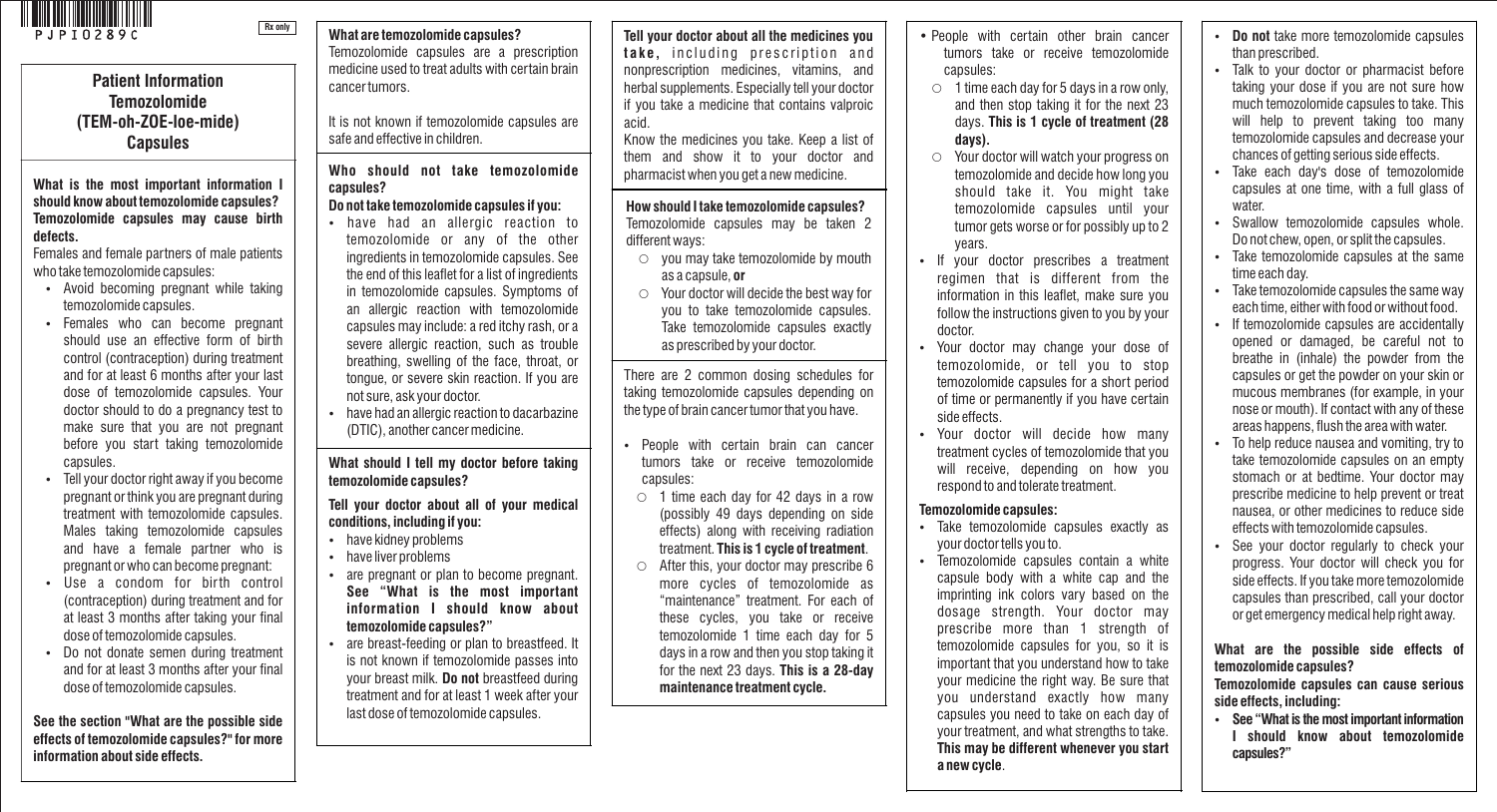

**Patient Information Temozolomide (TEM-oh-ZOE-loe-mide) Capsules**

**Rx only**

#### **What is the most important information I should know about temozolomide capsules? Temozolomide capsules may cause birth defects.**

Females and female partners of male patients who take temozolomide capsules:

- Avoid becoming pregnant while taking temozolomide capsules.
- Females who can become pregnant should use an effective form of birth control (contraception) during treatment and for at least 6 months after your last dose of temozolomide capsules. Your doctor should to do a pregnancy test to make sure that you are not pregnant before you start taking temozolomide capsules.
- Tell your doctor right away if you become pregnant or think you are pregnant during treatment with temozolomide capsules. Males taking temozolomide capsules and have a female partner who is pregnant or who can become pregnant:
- Use a condom for birth control (contraception) during treatment and for at least 3 months after taking your final dose of temozolomide capsules.
- Do not donate semen during treatment and for at least 3 months after your final dose of temozolomide capsules.

**See the section "What are the possible side effects of temozolomide capsules?" for more information about side effects.** 

**What are temozolomide capsules?**  Temozolomide capsules are a prescription medicine used to treat adults with certain brain cancer tumors.

It is not known if temozolomide capsules are safe and effective in children.

**Who should not take temozolomide capsules?**

# **Do not take temozolomide capsules if you:**

- have had an allergic reaction to temozolomide or any of the other ingredients in temozolomide capsules. See the end of this leaflet for a list of ingredients in temozolomide capsules. Symptoms of an allergic reaction with temozolomide capsules may include: a red itchy rash, or a severe allergic reaction, such as trouble breathing, swelling of the face, throat, or tongue, or severe skin reaction. If you are not sure, ask your doctor.
- have had an allergic reaction to dacarbazine (DTIC), another cancer medicine.

**What should I tell my doctor before taking temozolomide capsules?** 

**Tell your doctor about all of your medical conditions, including if you:** 

- have kidney problems
- have liver problems
- are pregnant or plan to become pregnant. **See "What is the most important information I should know about temozolomide capsules?"**
- are breast-feeding or plan to breastfeed. It is not known if temozolomide passes into your breast milk. **Do not** breastfeed during treatment and for at least 1 week after your last dose of temozolomide capsules.

**Tell your doctor about all the medicines you take**, including prescription and nonprescription medicines, vitamins, and herbal supplements. Especially tell your doctor if you take a medicine that contains valproic acid.

Know the medicines you take. Keep a list of them and show it to your doctor and pharmacist when you get a new medicine.

**How should I take temozolomide capsules?** Temozolomide capsules may be taken 2 different ways:

- $\circ$  you may take temozolomide by mouth as a capsule, **or**
- Your doctor will decide the best way for you to take temozolomide capsules. Take temozolomide capsules exactly as prescribed by your doctor.

There are 2 common dosing schedules for taking temozolomide capsules depending on the type of brain cancer tumor that you have.

- People with certain brain can cancer tumors take or receive temozolomide capsules:
- $\circ$  1 time each day for 42 days in a row (possibly 49 days depending on side effects) along with receiving radiation treatment. **This is 1 cycle of treatment**.
- $\circ$  After this, your doctor may prescribe 6 more cycles of temozolomide as "maintenance" treatment. For each of these cycles, you take or receive temozolomide 1 time each day for 5 days in a row and then you stop taking it for the next 23 days. **This is a 28-day maintenance treatment cycle.**
- People with certain other brain cancer tumors take or receive temozolomide capsules:
- $\circ$  1 time each day for 5 days in a row only. and then stop taking it for the next 23 days. **This is 1 cycle of treatment (28 days).**
- Your doctor will watch your progress on temozolomide and decide how long you should take it. You might take temozolomide capsules until your tumor gets worse or for possibly up to 2 years.
- If your doctor prescribes a treatment regimen that is different from the information in this leaflet, make sure you follow the instructions given to you by your doctor.
- Your doctor may change your dose of temozolomide, or tell you to stop temozolomide capsules for a short period of time or permanently if you have certain side effects.
- Your doctor will decide how many treatment cycles of temozolomide that you will receive, depending on how you respond to and tolerate treatment.

### **Temozolomide capsules:**

- Take temozolomide capsules exactly as your doctor tells you to.
- Temozolomide capsules contain a white capsule body with a white cap and the imprinting ink colors vary based on the dosage strength. Your doctor may prescribe more than 1 strength of temozolomide capsules for you, so it is important that you understand how to take your medicine the right way. Be sure that you understand exactly how many capsules you need to take on each day of your treatment, and what strengths to take. **This may be different whenever you start a new cycle**.
- **Do not** take more temozolomide capsules than prescribed.
- Talk to your doctor or pharmacist before taking your dose if you are not sure how much temozolomide capsules to take. This will help to prevent taking too many temozolomide capsules and decrease your chances of getting serious side effects.
- Take each day's dose of temozolomide capsules at one time, with a full glass of water.
- Swallow temozolomide capsules whole. Do not chew, open, or split the capsules.
- Take temozolomide capsules at the same time each day.
- Take temozolomide capsules the same way each time, either with food or without food.
- If temozolomide capsules are accidentally opened or damaged, be careful not to breathe in (inhale) the powder from the capsules or get the powder on your skin or mucous membranes (for example, in your nose or mouth). If contact with any of these areas happens, flush the area with water.
- To help reduce nausea and vomiting, try to take temozolomide capsules on an empty stomach or at bedtime. Your doctor may prescribe medicine to help prevent or treat nausea, or other medicines to reduce side effects with temozolomide capsules.
- See your doctor regularly to check your progress. Your doctor will check you for side effects. If you take more temozolomide capsules than prescribed, call your doctor or get emergency medical help right away.

## **What are the possible side effects of temozolomide capsules?**

**Temozolomide capsules can cause serious side effects, including:** 

 **See "What is the most important information I should know about temozolomide capsules?"**